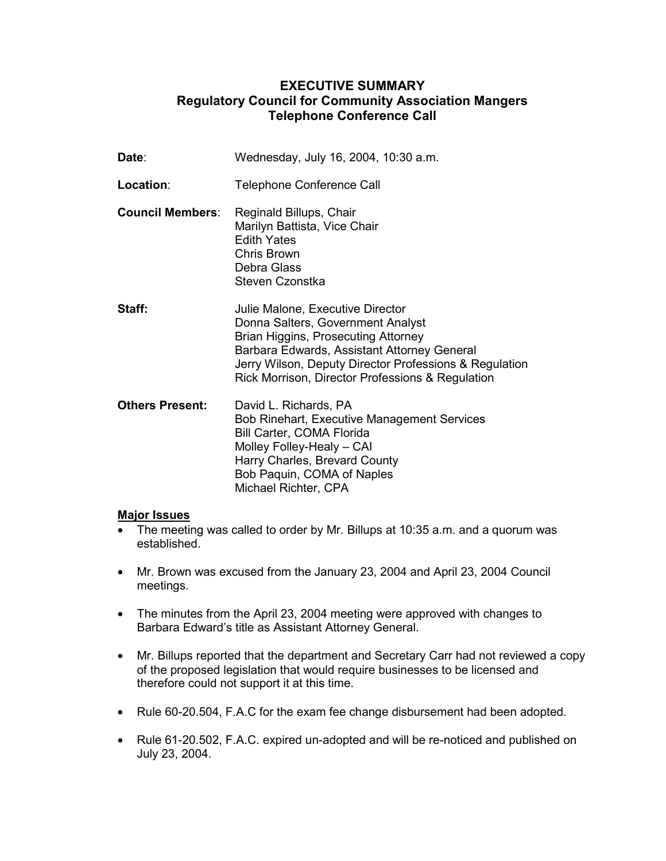## **EXECUTIVE SUMMARY Regulatory Council for Community Association Mangers Telephone Conference Call**

| Date∶                   | Wednesday, July 16, 2004, 10:30 a.m.                                                                                                                                                                                                                                      |
|-------------------------|---------------------------------------------------------------------------------------------------------------------------------------------------------------------------------------------------------------------------------------------------------------------------|
| Location:               | <b>Telephone Conference Call</b>                                                                                                                                                                                                                                          |
| <b>Council Members:</b> | Reginald Billups, Chair<br>Marilyn Battista, Vice Chair<br><b>Edith Yates</b><br>Chris Brown<br>Debra Glass<br>Steven Czonstka                                                                                                                                            |
| Staff:                  | Julie Malone, Executive Director<br>Donna Salters, Government Analyst<br>Brian Higgins, Prosecuting Attorney<br>Barbara Edwards, Assistant Attorney General<br>Jerry Wilson, Deputy Director Professions & Regulation<br>Rick Morrison, Director Professions & Regulation |
| <b>Others Present:</b>  | David L. Richards, PA<br><b>Bob Rinehart, Executive Management Services</b><br><b>Bill Carter, COMA Florida</b><br>Molley Folley-Healy - CAI<br>Harry Charles, Brevard County<br>Bob Paquin, COMA of Naples<br>Michael Richter, CPA                                       |

## **Major Issues**

- The meeting was called to order by Mr. Billups at 10:35 a.m. and a quorum was established.
- Mr. Brown was excused from the January 23, 2004 and April 23, 2004 Council meetings.
- The minutes from the April 23, 2004 meeting were approved with changes to Barbara Edward's title as Assistant Attorney General.
- Mr. Billups reported that the department and Secretary Carr had not reviewed a copy of the proposed legislation that would require businesses to be licensed and therefore could not support it at this time.
- Rule 60-20.504, F.A.C for the exam fee change disbursement had been adopted.
- Rule 61-20.502, F.A.C. expired un-adopted and will be re-noticed and published on July 23, 2004.